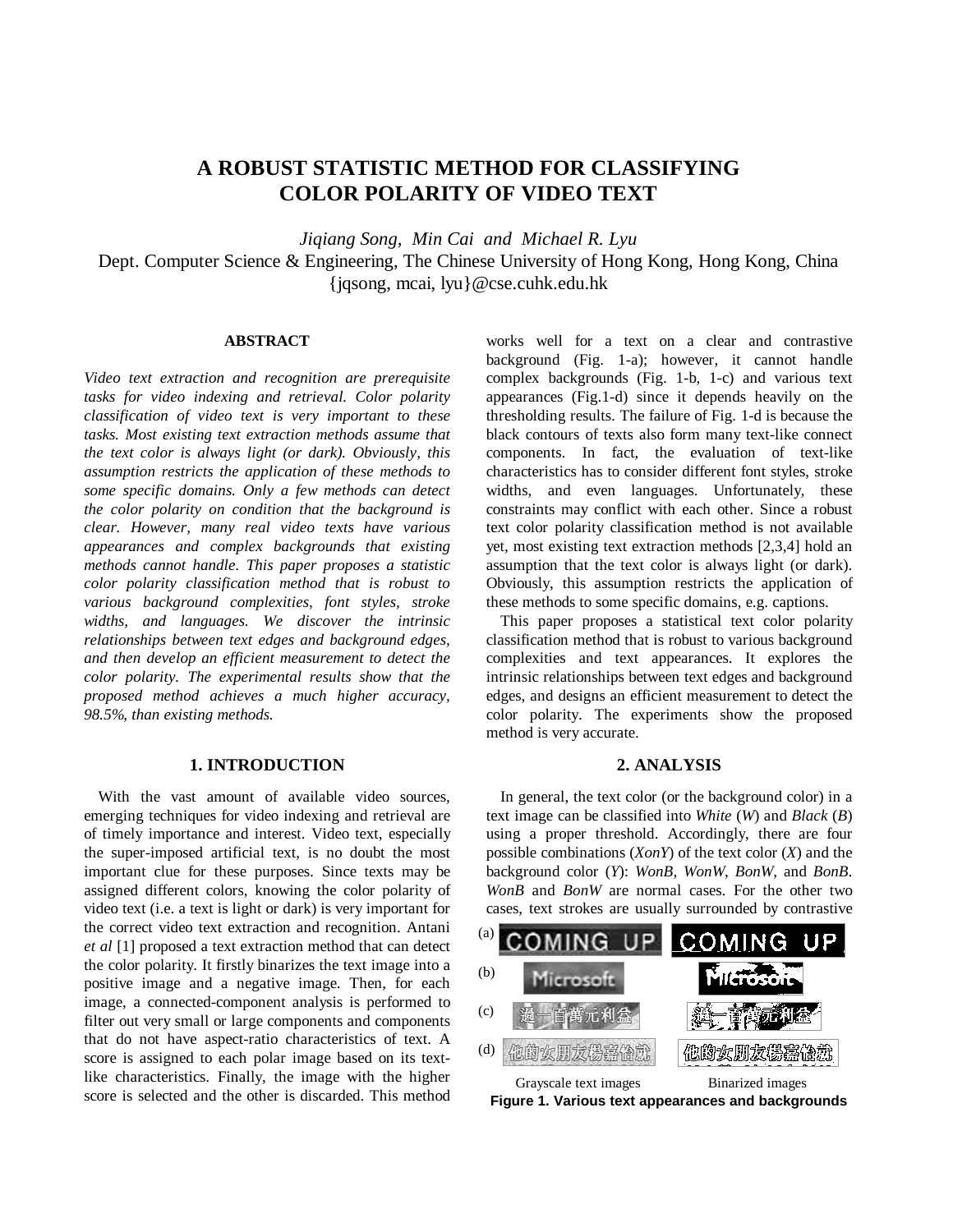# **A ROBUST STATISTIC METHOD FOR CLASSIFYING COLOR POLARITY OF VIDEO TEXT**

*Jiqiang Song, Min Cai and Michael R. Lyu* Dept. Computer Science & Engineering, The Chinese University of Hong Kong, Hong Kong, China {jqsong, mcai, lyu}@cse.cuhk.edu.hk

## **ABSTRACT**

*Video text extraction and recognition are prerequisite tasks for video indexing and retrieval. Color polarity classification of video text is very important to these tasks. Most existing text extraction methods assume that the text color is always light (or dark). Obviously, this assumption restricts the application of these methods to some specific domains. Only a few methods can detect the color polarity on condition that the background is clear. However, many real video texts have various appearances and complex backgrounds that existing methods cannot handle. This paper proposes a statistic color polarity classification method that is robust to various background complexities, font styles, stroke widths, and languages. We discover the intrinsic relationships between text edges and background edges, and then develop an efficient measurement to detect the color polarity. The experimental results show that the proposed method achieves a much higher accuracy, 98.5%, than existing methods.*

## **1. INTRODUCTION**

With the vast amount of available video sources, emerging techniques for video indexing and retrieval are of timely importance and interest. Video text, especially the super-imposed artificial text, is no doubt the most important clue for these purposes. Since texts may be assigned different colors, knowing the color polarity of video text (i.e. a text is light or dark) is very important for the correct video text extraction and recognition. Antani *et al* [1] proposed a text extraction method that can detect the color polarity. It firstly binarizes the text image into a positive image and a negative image. Then, for each image, a connected-component analysis is performed to filter out very small or large components and components that do not have aspect-ratio characteristics of text. A score is assigned to each polar image based on its textlike characteristics. Finally, the image with the higher score is selected and the other is discarded. This method

works well for a text on a clear and contrastive background (Fig. 1-a); however, it cannot handle complex backgrounds (Fig. 1-b, 1-c) and various text appearances (Fig.1-d) since it depends heavily on the thresholding results. The failure of Fig. 1-d is because the black contours of texts also form many text-like connect components. In fact, the evaluation of text-like characteristics has to consider different font styles, stroke widths, and even languages. Unfortunately, these constraints may conflict with each other. Since a robust text color polarity classification method is not available yet, most existing text extraction methods [2,3,4] hold an assumption that the text color is always light (or dark). Obviously, this assumption restricts the application of these methods to some specific domains, e.g. captions.

This paper proposes a statistical text color polarity classification method that is robust to various background complexities and text appearances. It explores the intrinsic relationships between text edges and background edges, and designs an efficient measurement to detect the color polarity. The experiments show the proposed method is very accurate.

# **2. ANALYSIS**

In general, the text color (or the background color) in a text image can be classified into *White* (*W*) and *Black* (*B*) using a proper threshold. Accordingly, there are four possible combinations (*XonY*) of the text color (*X*) and the background color (*Y*): *WonB*, *WonW*, *BonW*, and *BonB*. *WonB* and *BonW* are normal cases. For the other two cases, text strokes are usually surrounded by contrastive



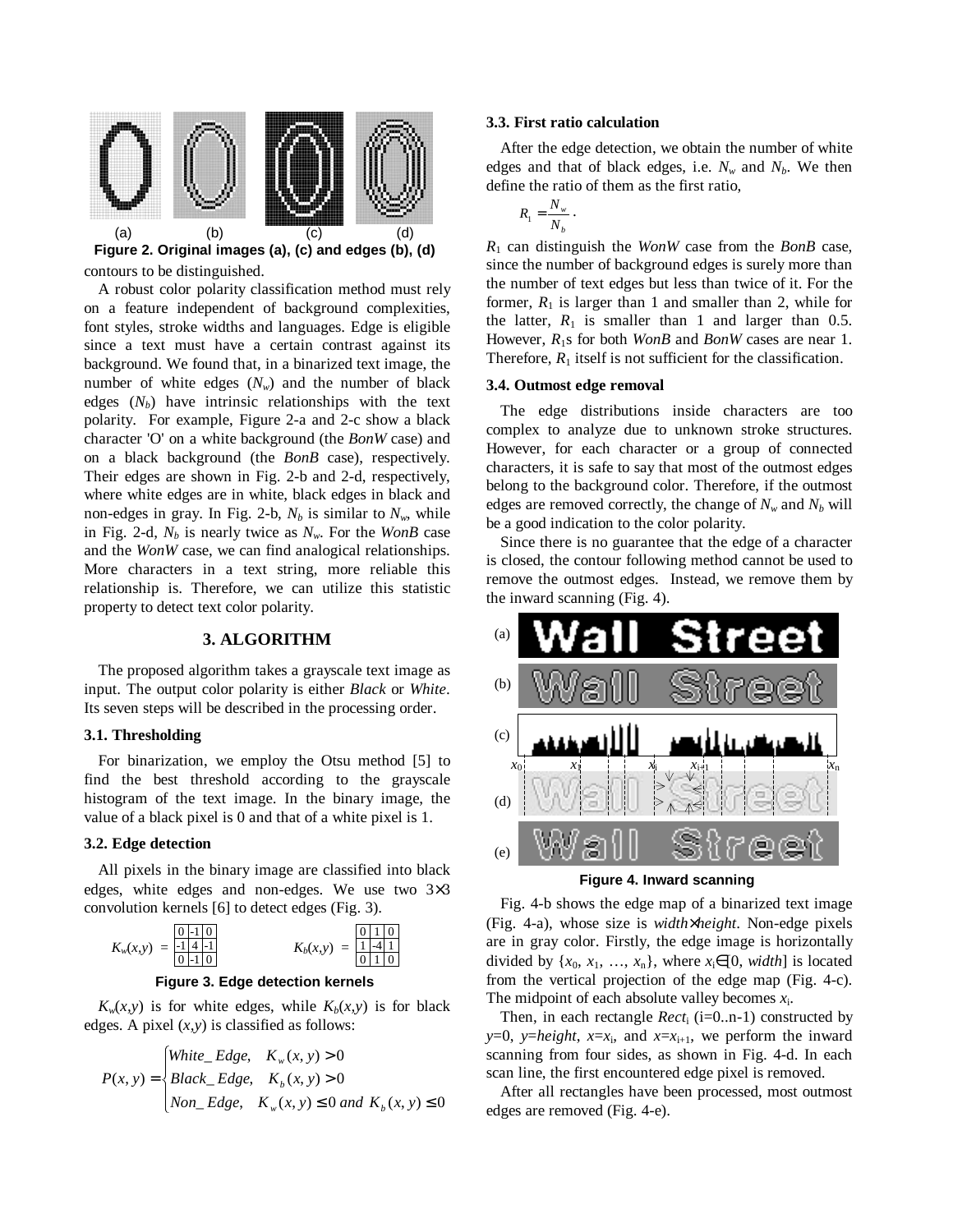

contours to be distinguished. **Figure 2. Original images (a), (c) and edges (b), (d)**

A robust color polarity classification method must rely on a feature independent of background complexities, font styles, stroke widths and languages. Edge is eligible since a text must have a certain contrast against its background. We found that, in a binarized text image, the number of white edges  $(N_w)$  and the number of black edges  $(N_b)$  have intrinsic relationships with the text polarity. For example, Figure 2-a and 2-c show a black character 'O' on a white background (the *BonW* case) and on a black background (the *BonB* case), respectively. Their edges are shown in Fig. 2-b and 2-d, respectively, where white edges are in white, black edges in black and non-edges in gray. In Fig. 2-b,  $N_b$  is similar to  $N_w$ , while in Fig. 2-d,  $N_b$  is nearly twice as  $N_w$ . For the *WonB* case and the *WonW* case, we can find analogical relationships. More characters in a text string, more reliable this relationship is. Therefore, we can utilize this statistic property to detect text color polarity.

## **3. ALGORITHM**

The proposed algorithm takes a grayscale text image as input. The output color polarity is either *Black* or *White*. Its seven steps will be described in the processing order.

## **3.1. Thresholding**

For binarization, we employ the Otsu method [5] to find the best threshold according to the grayscale histogram of the text image. In the binary image, the value of a black pixel is 0 and that of a white pixel is 1.

#### **3.2. Edge detection**

All pixels in the binary image are classified into black edges, white edges and non-edges. We use two 3×3 convolution kernels [6] to detect edges (Fig. 3).



#### **Figure 3. Edge detection kernels**

 $K_w(x, y)$  is for white edges, while  $K_b(x, y)$  is for black edges. A pixel  $(x, y)$  is classified as follows:

$$
P(x, y) = \begin{cases} \nWhite\_Edge, & K_w(x, y) > 0 \\ \nBlack\_Edge, & K_b(x, y) > 0 \\ \nNon\_Edge, & K_w(x, y) \le 0 \text{ and } K_b(x, y) \le 0 \n\end{cases}
$$

#### **3.3. First ratio calculation**

After the edge detection, we obtain the number of white edges and that of black edges, i.e.  $N_w$  and  $N_b$ . We then define the ratio of them as the first ratio,

$$
R_1 = \frac{N_w}{N_b} \, .
$$

*R*<sup>1</sup> can distinguish the *WonW* case from the *BonB* case, since the number of background edges is surely more than the number of text edges but less than twice of it. For the former,  $R_1$  is larger than 1 and smaller than 2, while for the latter,  $R_1$  is smaller than 1 and larger than 0.5. However, *R*1s for both *WonB* and *BonW* cases are near 1. Therefore,  $R_1$  itself is not sufficient for the classification.

### **3.4. Outmost edge removal**

The edge distributions inside characters are too complex to analyze due to unknown stroke structures. However, for each character or a group of connected characters, it is safe to say that most of the outmost edges belong to the background color. Therefore, if the outmost edges are removed correctly, the change of  $N_w$  and  $N_b$  will be a good indication to the color polarity.

Since there is no guarantee that the edge of a character is closed, the contour following method cannot be used to remove the outmost edges. Instead, we remove them by the inward scanning (Fig. 4).





Fig. 4-b shows the edge map of a binarized text image (Fig. 4-a), whose size is *width*×*height*. Non-edge pixels are in gray color. Firstly, the edge image is horizontally divided by  $\{x_0, x_1, \ldots, x_n\}$ , where  $x_i \in [0, width]$  is located from the vertical projection of the edge map (Fig. 4-c). The midpoint of each absolute valley becomes *x*i.

Then, in each rectangle  $Rect_i$  (i=0..n-1) constructed by *y*=0, *y*=*height*, *x*=*x*<sub>i</sub>, and *x*=*x*<sub>i+1</sub>, we perform the inward scanning from four sides, as shown in Fig. 4-d. In each scan line, the first encountered edge pixel is removed.

After all rectangles have been processed, most outmost edges are removed (Fig. 4-e).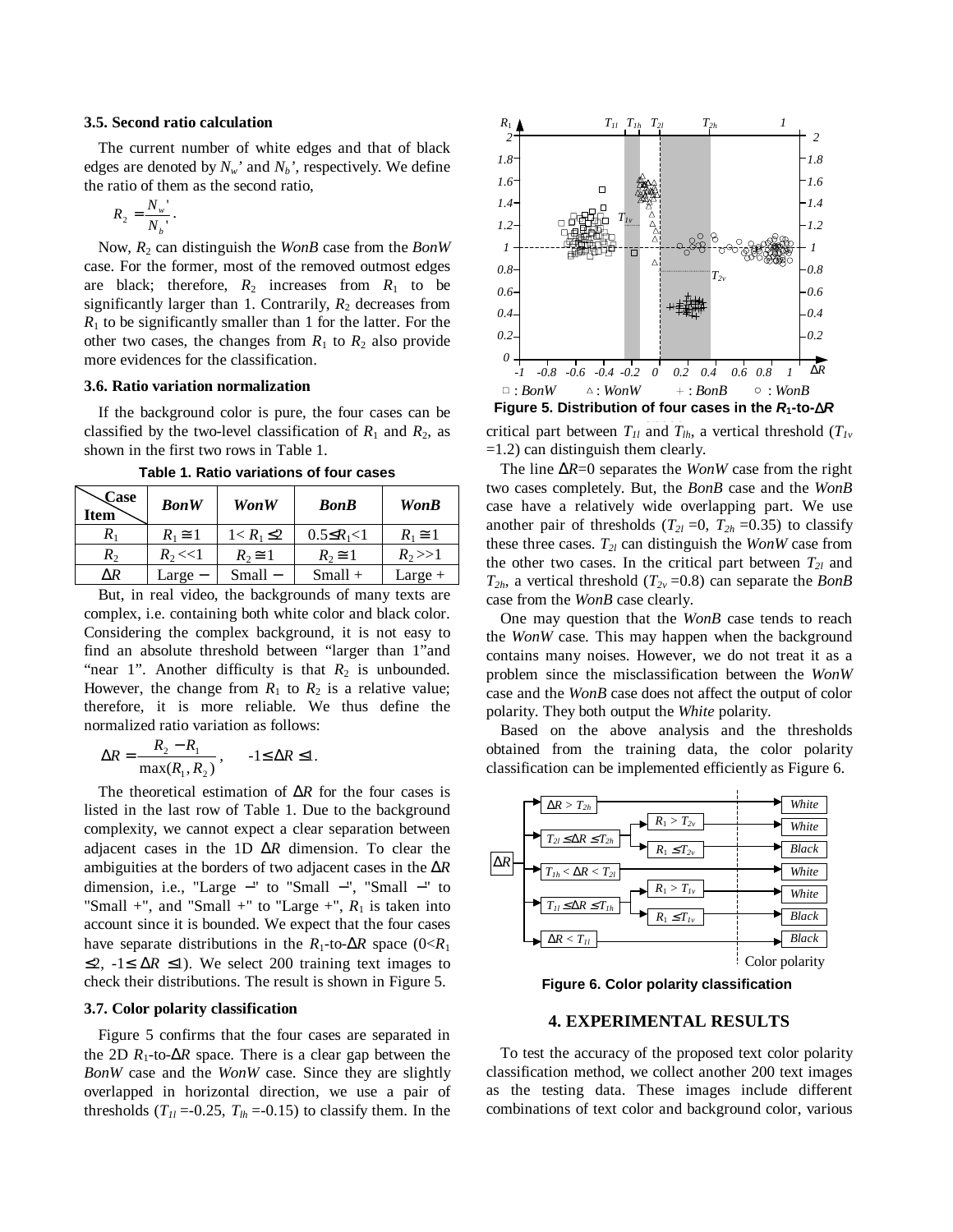#### **3.5. Second ratio calculation**

The current number of white edges and that of black edges are denoted by  $N_w$ ' and  $N_b$ ', respectively. We define the ratio of them as the second ratio,

$$
R_2 = \frac{N_w}{N_b}.
$$

Now, *R*<sup>2</sup> can distinguish the *WonB* case from the *BonW* case. For the former, most of the removed outmost edges are black; therefore,  $R_2$  increases from  $R_1$  to be significantly larger than 1. Contrarily,  $R_2$  decreases from  $R_1$  to be significantly smaller than 1 for the latter. For the other two cases, the changes from  $R_1$  to  $R_2$  also provide more evidences for the classification.

#### **3.6. Ratio variation normalization**

If the background color is pure, the four cases can be classified by the two-level classification of  $R_1$  and  $R_2$ , as shown in the first two rows in Table 1.

| Case<br><b>Item</b> | <b>BonW</b>   | Won W            | <b>BonB</b>        | <b>WonB</b>   |
|---------------------|---------------|------------------|--------------------|---------------|
| $R_1$               | $R_1 \cong 1$ | $1 < R_1 \leq 2$ | $0.5 \leq R_1 < 1$ | $R_1 \cong 1$ |
| $R_2$               | $R_2 < 1$     | $R_2 \cong 1$    | $R_2 \cong 1$      | $R_2>>1$      |
| $\Delta R$          | $Large-$      | $Small-$         | $Small +$          | $Large +$     |

**Table 1. Ratio variations of four cases**

But, in real video, the backgrounds of many texts are complex, i.e. containing both white color and black color. Considering the complex background, it is not easy to find an absolute threshold between "larger than 1"and "near 1". Another difficulty is that  $R_2$  is unbounded. However, the change from  $R_1$  to  $R_2$  is a relative value; therefore, it is more reliable. We thus define the normalized ratio variation as follows:

$$
\Delta R = \frac{R_2 - R_1}{\max(R_1, R_2)}, \quad -1 \le \Delta R \le 1.
$$

The theoretical estimation of ∆*R* for the four cases is listed in the last row of Table 1. Due to the background complexity, we cannot expect a clear separation between adjacent cases in the 1D ∆*R* dimension. To clear the ambiguities at the borders of two adjacent cases in the ∆*R* dimension, i.e., "Large −" to "Small −", "Small −" to "Small +", and "Small +" to "Large +",  $R_1$  is taken into account since it is bounded. We expect that the four cases have separate distributions in the  $R_1$ -to- $\Delta R$  space (0< $R_1$ )  $≤2$ , -1≤ Δ*R* ≤1). We select 200 training text images to check their distributions. The result is shown in Figure 5.

## **3.7. Color polarity classification**

Figure 5 confirms that the four cases are separated in the 2D  $R_1$ -to- $\Delta R$  space. There is a clear gap between the *BonW* case and the *WonW* case. Since they are slightly overlapped in horizontal direction, we use a pair of thresholds  $(T_{II} = -0.25, T_{lh} = -0.15)$  to classify them. In the



critical part between  $T_{1l}$  and  $T_{lh}$ , a vertical threshold  $(T_{1v}$ =1.2) can distinguish them clearly.

The line ∆*R*=0 separates the *WonW* case from the right two cases completely. But, the *BonB* case and the *WonB* case have a relatively wide overlapping part. We use another pair of thresholds  $(T_{2l} = 0, T_{2h} = 0.35)$  to classify these three cases.  $T_{2l}$  can distinguish the *WonW* case from the other two cases. In the critical part between  $T_{2l}$  and  $T_{2h}$ , a vertical threshold  $(T_{2v} = 0.8)$  can separate the *BonB* case from the *WonB* case clearly.

One may question that the *WonB* case tends to reach the *WonW* case. This may happen when the background contains many noises. However, we do not treat it as a problem since the misclassification between the *WonW* case and the *WonB* case does not affect the output of color polarity. They both output the *White* polarity.

Based on the above analysis and the thresholds obtained from the training data, the color polarity classification can be implemented efficiently as Figure 6.



**Figure 6. Color polarity classification**

#### **4. EXPERIMENTAL RESULTS**

To test the accuracy of the proposed text color polarity classification method, we collect another 200 text images as the testing data. These images include different combinations of text color and background color, various